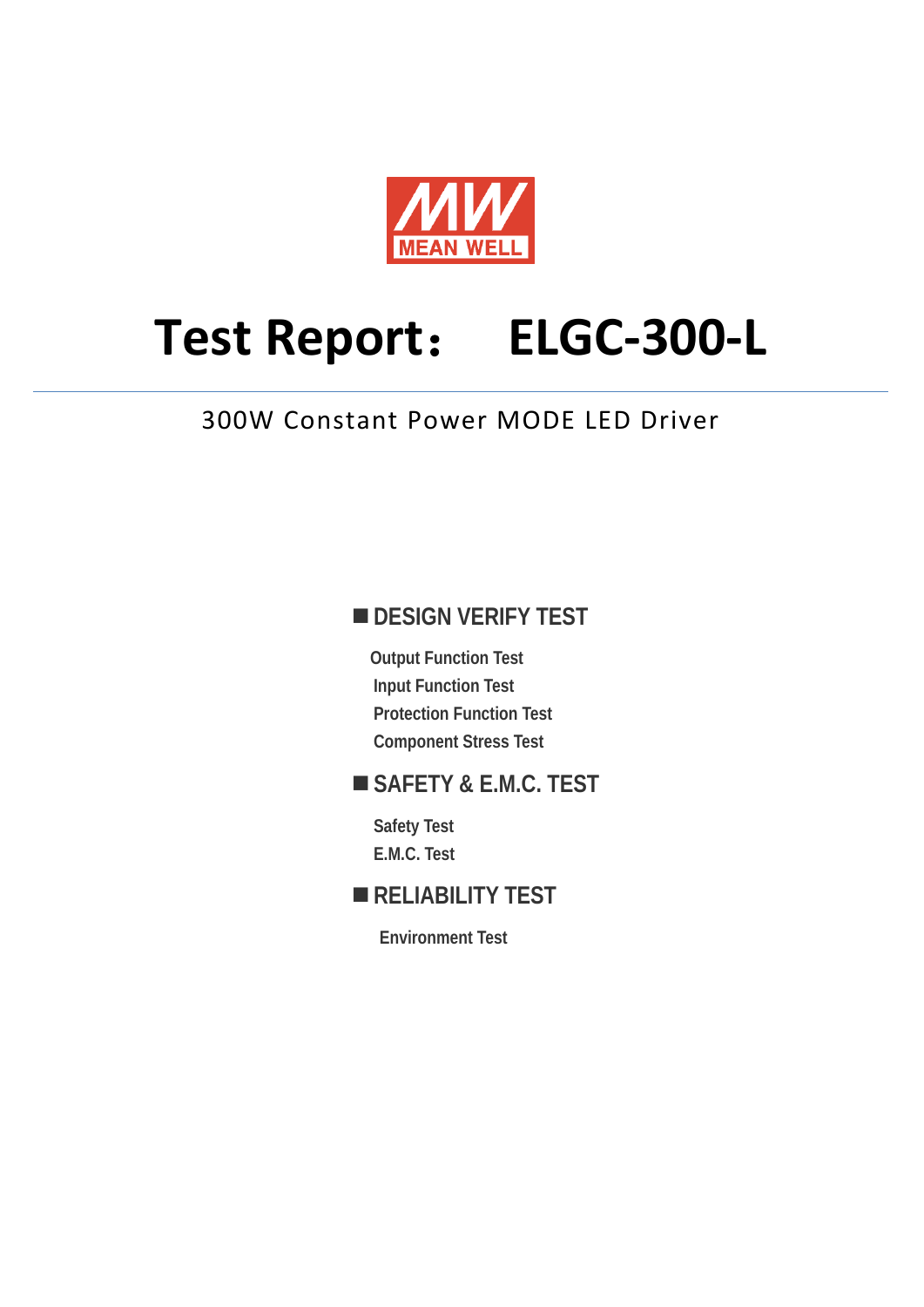

# **Test Report**: **ELGC-300-L**

### 300W Constant Power MODE LED Driver

### **DESIGN VERIFY TEST**

**Output Function Test Input Function Test Protection Function Test Component Stress Test** 

### **SAFETY & E.M.C. TEST**

**Safety Test E.M.C. Test** 

### **RELIABILITY TEST**

**Environment Test**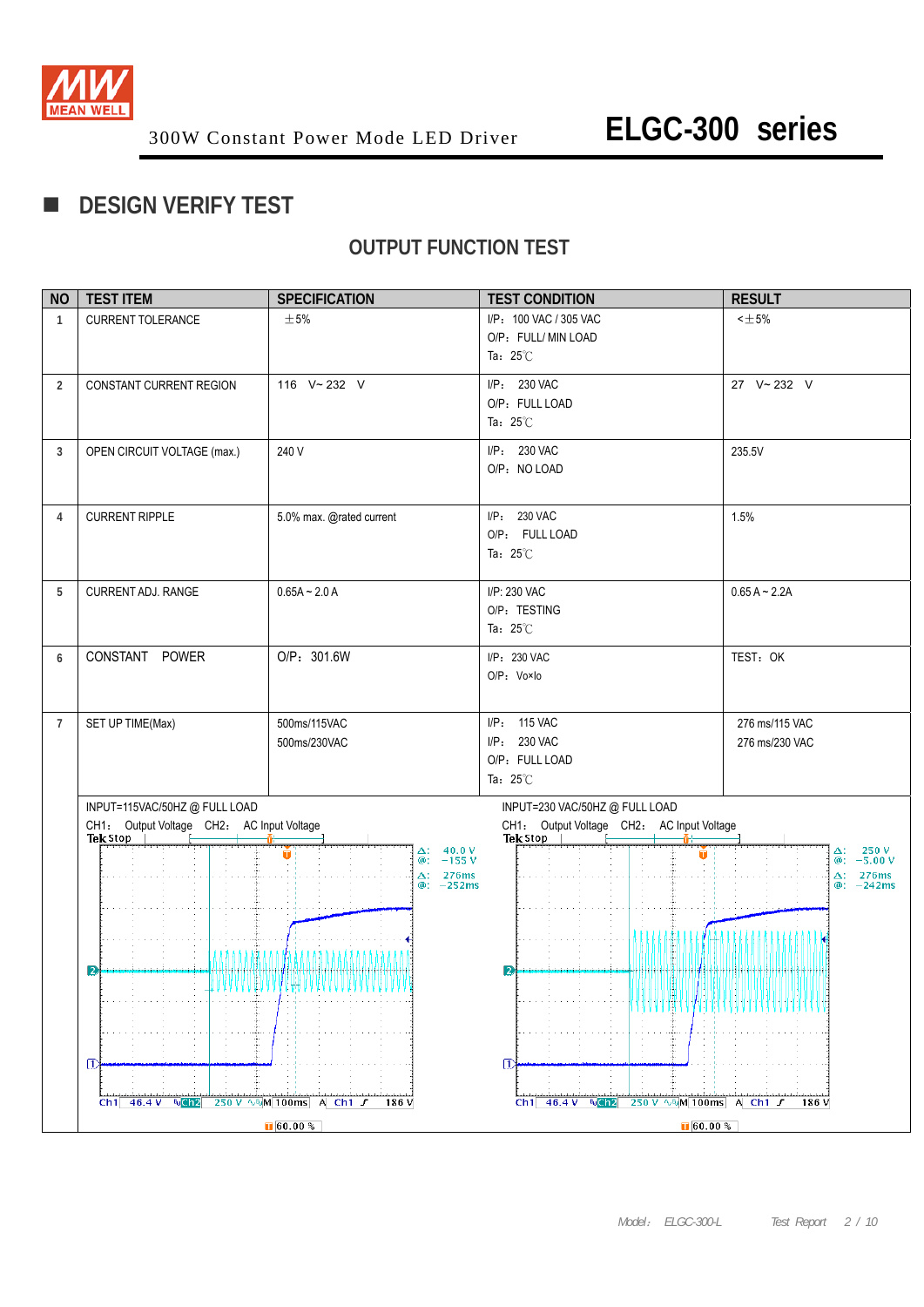

### **DESIGN VERIFY TEST**

### **OUTPUT FUNCTION TEST**

| <b>NO</b>      | <b>TEST ITEM</b>                                      | <b>SPECIFICATION</b>                             | <b>TEST CONDITION</b>                                                              | <b>RESULT</b>            |
|----------------|-------------------------------------------------------|--------------------------------------------------|------------------------------------------------------------------------------------|--------------------------|
| $\mathbf{1}$   | <b>CURRENT TOLERANCE</b>                              | $\pm$ 5%                                         | I/P: 100 VAC / 305 VAC                                                             | $< \pm 5\%$              |
|                |                                                       |                                                  | O/P: FULL/ MIN LOAD                                                                |                          |
|                |                                                       |                                                  | Ta: $25^{\circ}$ C                                                                 |                          |
| $\overline{2}$ | CONSTANT CURRENT REGION                               | 116 V~232 V                                      | I/P: 230 VAC                                                                       | 27 V~232 V               |
|                |                                                       |                                                  | O/P: FULL LOAD                                                                     |                          |
|                |                                                       |                                                  | Ta: $25^{\circ}$ C                                                                 |                          |
| 3              | OPEN CIRCUIT VOLTAGE (max.)                           | 240 V                                            | I/P: 230 VAC                                                                       | 235.5V                   |
|                |                                                       |                                                  | O/P: NO LOAD                                                                       |                          |
|                |                                                       |                                                  |                                                                                    |                          |
|                |                                                       |                                                  |                                                                                    |                          |
| 4              | <b>CURRENT RIPPLE</b>                                 | 5.0% max. @rated current                         | I/P: 230 VAC                                                                       | 1.5%                     |
|                |                                                       |                                                  | O/P: FULL LOAD                                                                     |                          |
|                |                                                       |                                                  | Ta: $25^{\circ}$ C                                                                 |                          |
| 5              | CURRENT ADJ. RANGE                                    | $0.65A - 2.0A$                                   | I/P: 230 VAC                                                                       | $0.65 A - 2.2A$          |
|                |                                                       |                                                  | O/P: TESTING                                                                       |                          |
|                |                                                       |                                                  | Ta: $25^{\circ}$ C                                                                 |                          |
|                |                                                       |                                                  |                                                                                    |                          |
| 6              | CONSTANT POWER                                        | O/P: 301.6W                                      | I/P: 230 VAC                                                                       | TEST: OK                 |
|                |                                                       |                                                  | O/P: Vo×lo                                                                         |                          |
|                |                                                       |                                                  |                                                                                    |                          |
| $\overline{7}$ | SET UP TIME(Max)                                      | 500ms/115VAC                                     | I/P: 115 VAC                                                                       | 276 ms/115 VAC           |
|                |                                                       | 500ms/230VAC                                     | I/P: 230 VAC                                                                       | 276 ms/230 VAC           |
|                |                                                       |                                                  | O/P: FULL LOAD                                                                     |                          |
|                |                                                       |                                                  | Ta: $25^{\circ}$ C                                                                 |                          |
|                | INPUT=115VAC/50HZ@FULLLOAD                            |                                                  | INPUT=230 VAC/50HZ @ FULL LOAD                                                     |                          |
|                | CH1: Output Voltage CH2: AC Input Voltage<br>Tek Stop |                                                  | CH1: Output Voltage CH2: AC Input Voltage<br>Tek Stop                              |                          |
|                |                                                       | $40.0 V - 155 V$<br>Δ:<br>П                      | o                                                                                  | $-250V$<br>-5.00 V<br>Δ: |
|                |                                                       | @:<br>276ms<br>$\Delta$ :                        |                                                                                    | @:<br>276ms<br>Δ:        |
|                |                                                       | $@: -252ms$                                      |                                                                                    | @: -242ms                |
|                |                                                       |                                                  |                                                                                    |                          |
|                |                                                       |                                                  | ,,,,,,,,,,,                                                                        | ,,,,,,,,,,,,,            |
|                |                                                       |                                                  |                                                                                    |                          |
|                | $\mathbf{p}$                                          |                                                  | 2                                                                                  |                          |
|                | .                                                     | <b>AA A A A A A A A A A A A A A A</b>            |                                                                                    |                          |
|                |                                                       |                                                  | WWW                                                                                |                          |
|                |                                                       |                                                  |                                                                                    |                          |
|                |                                                       |                                                  |                                                                                    |                          |
|                | π                                                     |                                                  | $\vert$ T)                                                                         |                          |
|                |                                                       |                                                  |                                                                                    |                          |
|                | $Ch1$ 46.4 V Man2                                     | 250 V $\sqrt{N}$ M 100ms A Ch1 $\Gamma$<br>186 V | $Ch1$ 46.4 V NCh <sub>2</sub><br>$250 \text{ V}$ $\sqrt{N}$ M 100ms A Ch1 $\Gamma$ | 186 V                    |
|                |                                                       | $\sqrt{60.00 \%}$                                | $\sqrt{0.00 \%}$                                                                   |                          |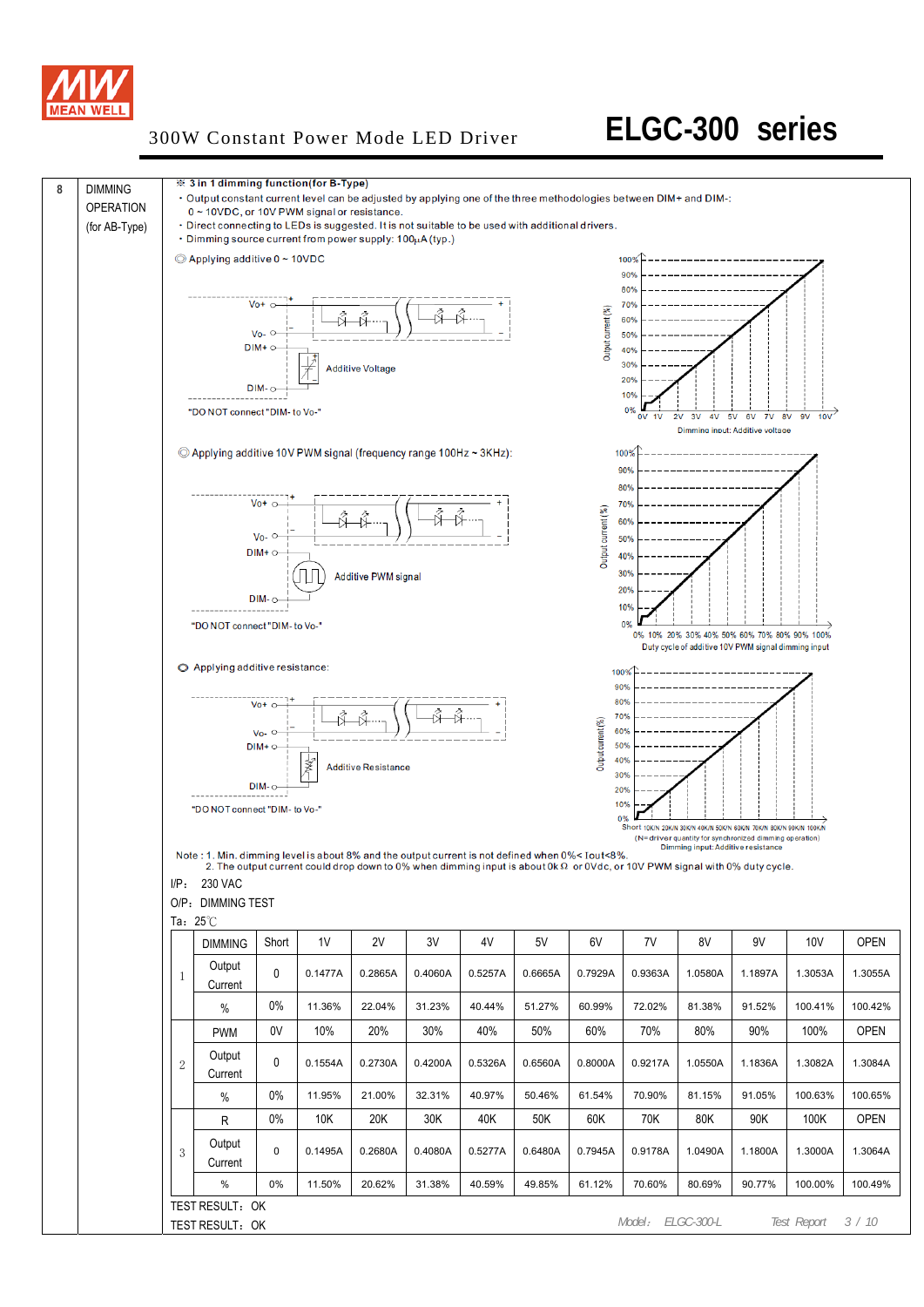

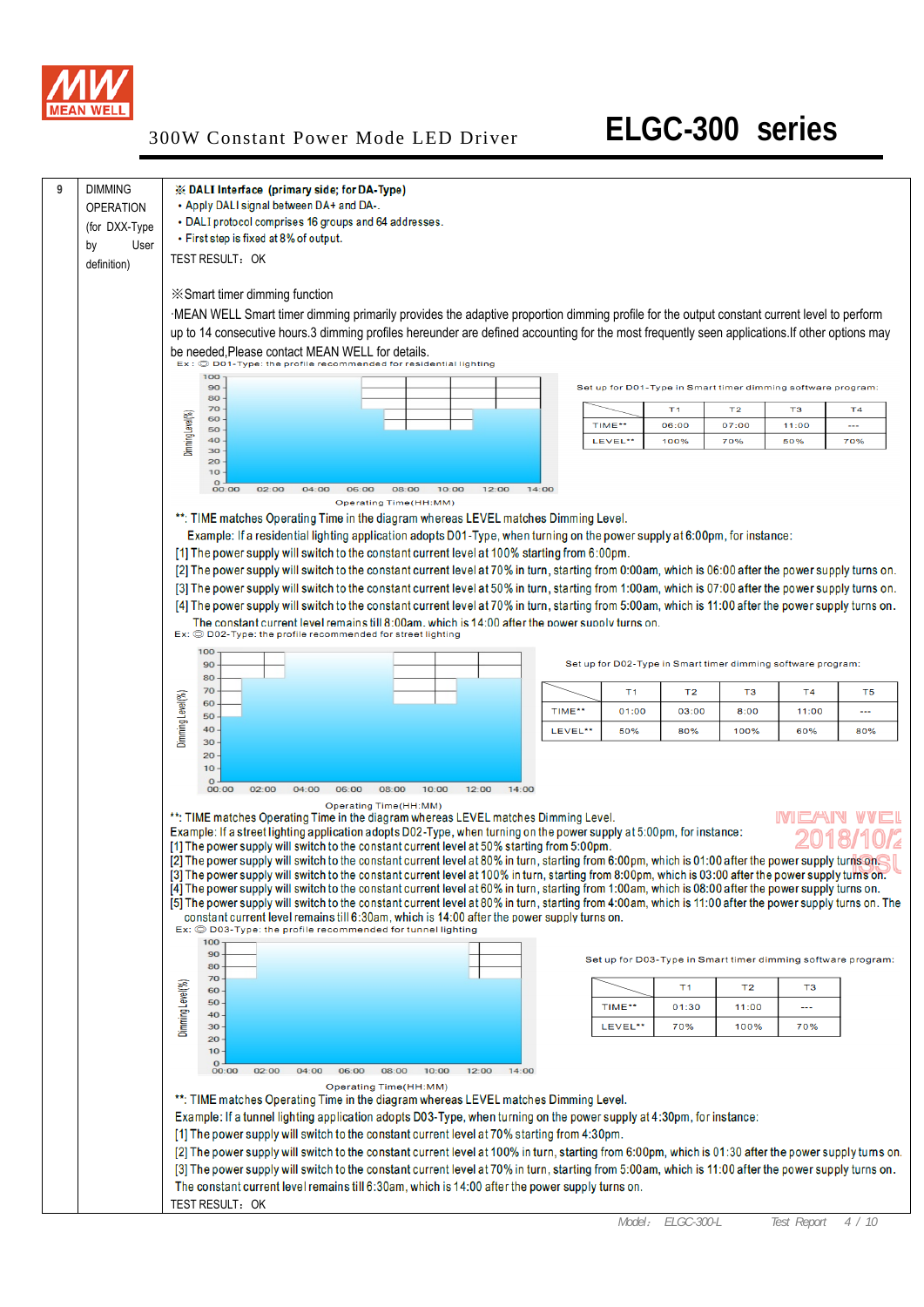

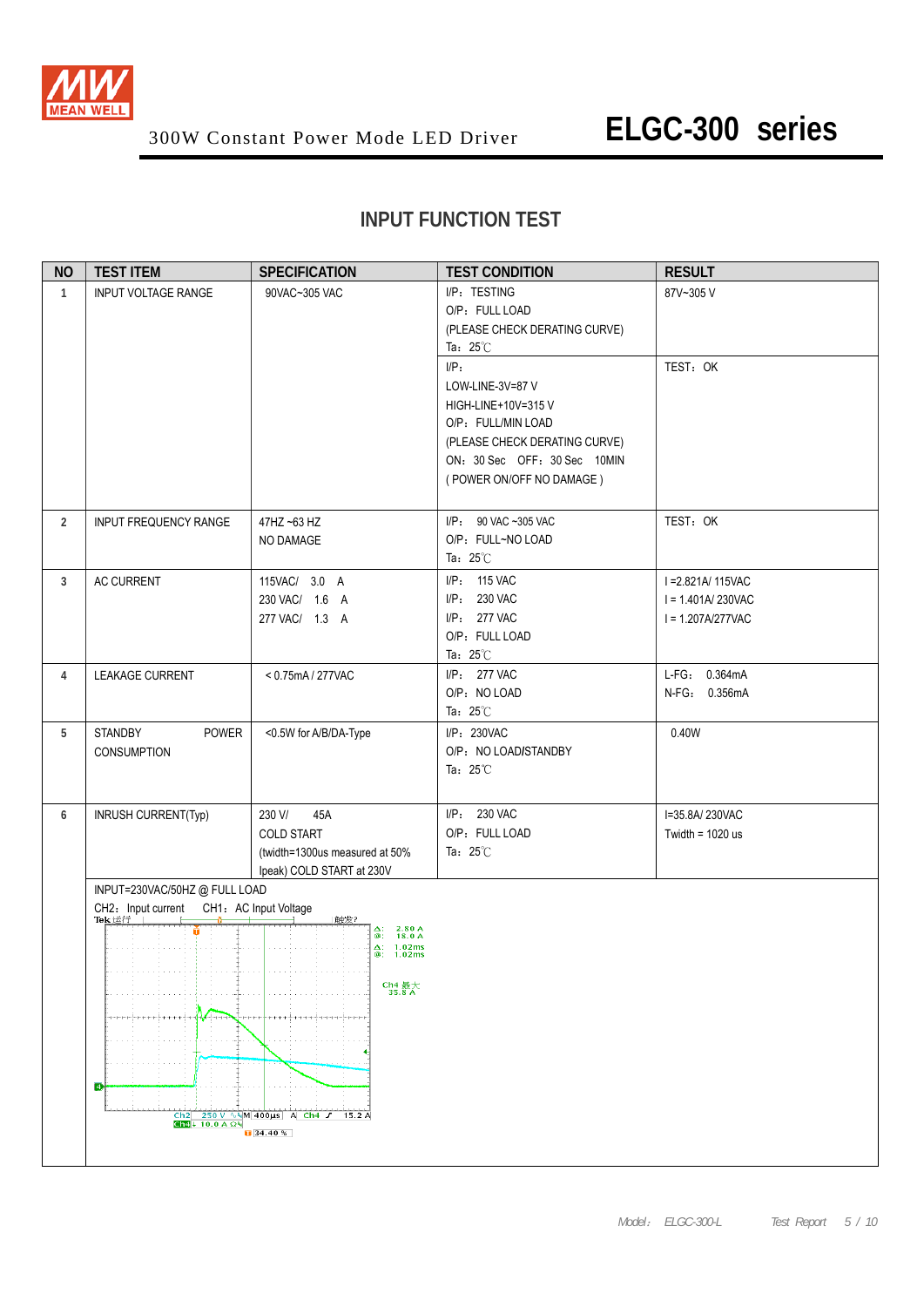

### **INPUT FUNCTION TEST**

| <b>NO</b>      | <b>TEST ITEM</b>                                                                                                          | <b>SPECIFICATION</b>                                                                                                                                                                                                 | <b>TEST CONDITION</b>                                                                                                                                                | <b>RESULT</b>                                                    |
|----------------|---------------------------------------------------------------------------------------------------------------------------|----------------------------------------------------------------------------------------------------------------------------------------------------------------------------------------------------------------------|----------------------------------------------------------------------------------------------------------------------------------------------------------------------|------------------------------------------------------------------|
| $\mathbf{1}$   | <b>INPUT VOLTAGE RANGE</b>                                                                                                | 90VAC~305 VAC                                                                                                                                                                                                        | I/P: TESTING<br>O/P: FULL LOAD<br>(PLEASE CHECK DERATING CURVE)<br>Ta: $25^{\circ}$ C                                                                                | 87V~305V                                                         |
|                |                                                                                                                           |                                                                                                                                                                                                                      | $I/P$ :<br>LOW-LINE-3V=87 V<br>HIGH-LINE+10V=315V<br>O/P: FULL/MIN LOAD<br>(PLEASE CHECK DERATING CURVE)<br>ON: 30 Sec OFF: 30 Sec 10MIN<br>(POWER ON/OFF NO DAMAGE) | TEST: OK                                                         |
| $\overline{2}$ | INPUT FREQUENCY RANGE                                                                                                     | 47HZ ~63 HZ<br>NO DAMAGE                                                                                                                                                                                             | I/P: 90 VAC ~305 VAC<br>O/P: FULL~NO LOAD<br>Ta: $25^{\circ}$ C                                                                                                      | TEST: OK                                                         |
| 3              | AC CURRENT<br>115VAC/ 3.0 A<br>230 VAC/ 1.6 A<br>277 VAC/ 1.3 A                                                           |                                                                                                                                                                                                                      | I/P: 115 VAC<br>I/P: 230 VAC<br>I/P: 277 VAC<br>O/P: FULL LOAD<br>Ta: $25^{\circ}$ C                                                                                 | I = 2.821A/ 115VAC<br>$I = 1.401A/230VAC$<br>$I = 1.207A/277VAC$ |
| 4              | LEAKAGE CURRENT                                                                                                           | < 0.75mA / 277VAC                                                                                                                                                                                                    | I/P: 277 VAC<br>O/P: NO LOAD<br>Ta: $25^{\circ}$ C                                                                                                                   | L-FG: 0.364mA<br>N-FG: 0.356mA                                   |
| 5              | POWER<br><b>STANDBY</b><br><b>CONSUMPTION</b>                                                                             | <0.5W for A/B/DA-Type                                                                                                                                                                                                | I/P: 230VAC<br>O/P: NO LOAD/STANDBY<br>Ta: $25^{\circ}$ C                                                                                                            | 0.40W                                                            |
| 6              | INRUSH CURRENT(Typ)                                                                                                       | 230 V/<br>45A<br><b>COLD START</b><br>(twidth=1300us measured at 50%<br>Ipeak) COLD START at 230V                                                                                                                    | I/P: 230 VAC<br>O/P: FULL LOAD<br>Ta: $25^{\circ}$ C                                                                                                                 | I=35.8A/230VAC<br>Twidth = $1020$ us                             |
|                | INPUT=230VAC/50HZ @ FULL LOAD<br>CH2: Input current CH1: AC Input Voltage<br>Tek 运行<br>Che $\downarrow$ 10.0 A $\Omega$ M | 触发?<br>$\Delta$ : 2.80 A<br>@: 18.0 A<br>$\begin{array}{ll} \Delta: & 1.02 \text{ms} \\ \textcircled{a}: & 1.02 \text{ms} \end{array}$<br>Ch4 最大<br>35.8 A<br>Ch2 250 V ∿%M 400µs A Ch4 J 15.2 A<br>$\sqrt{34.40\%}$ |                                                                                                                                                                      |                                                                  |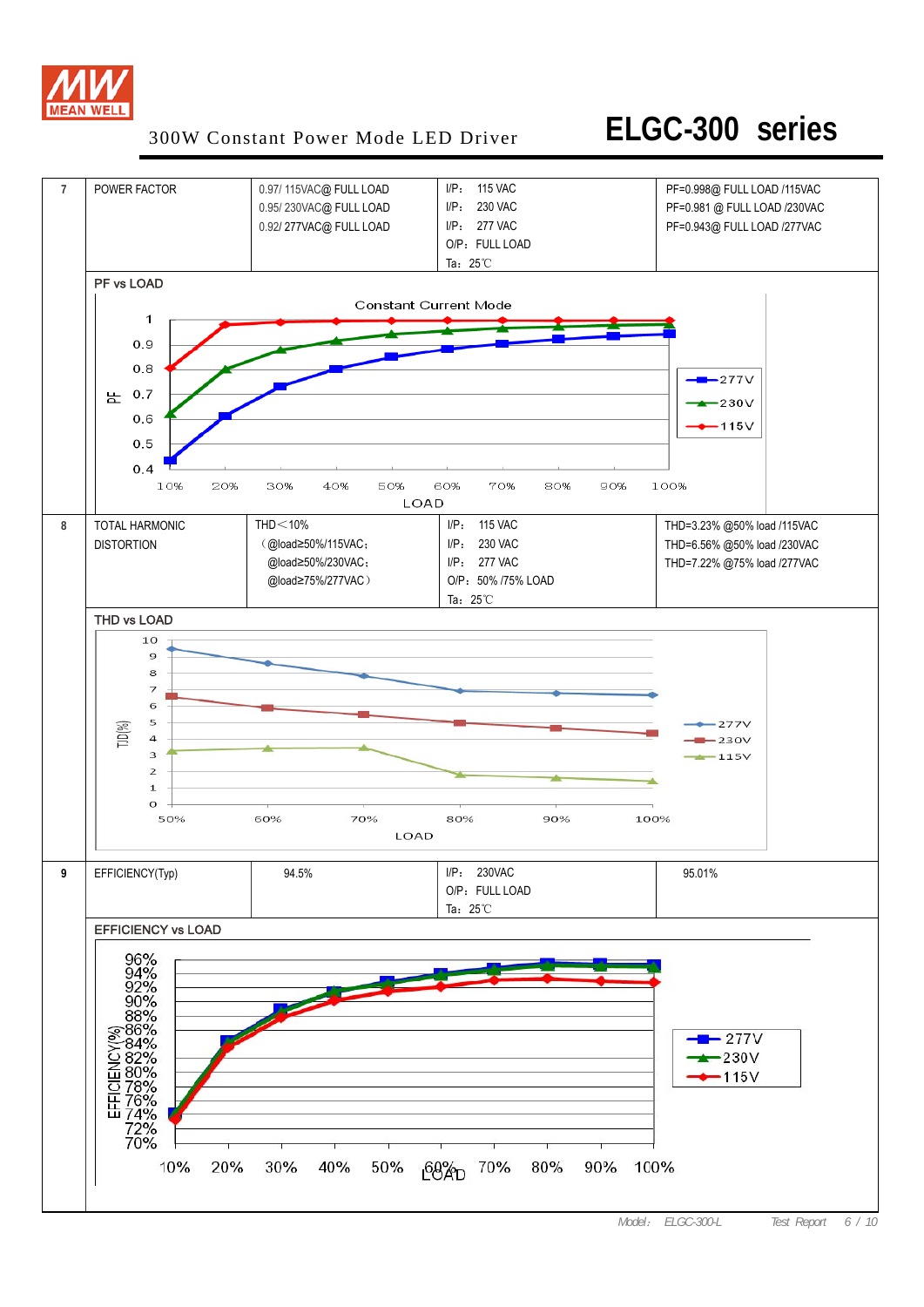

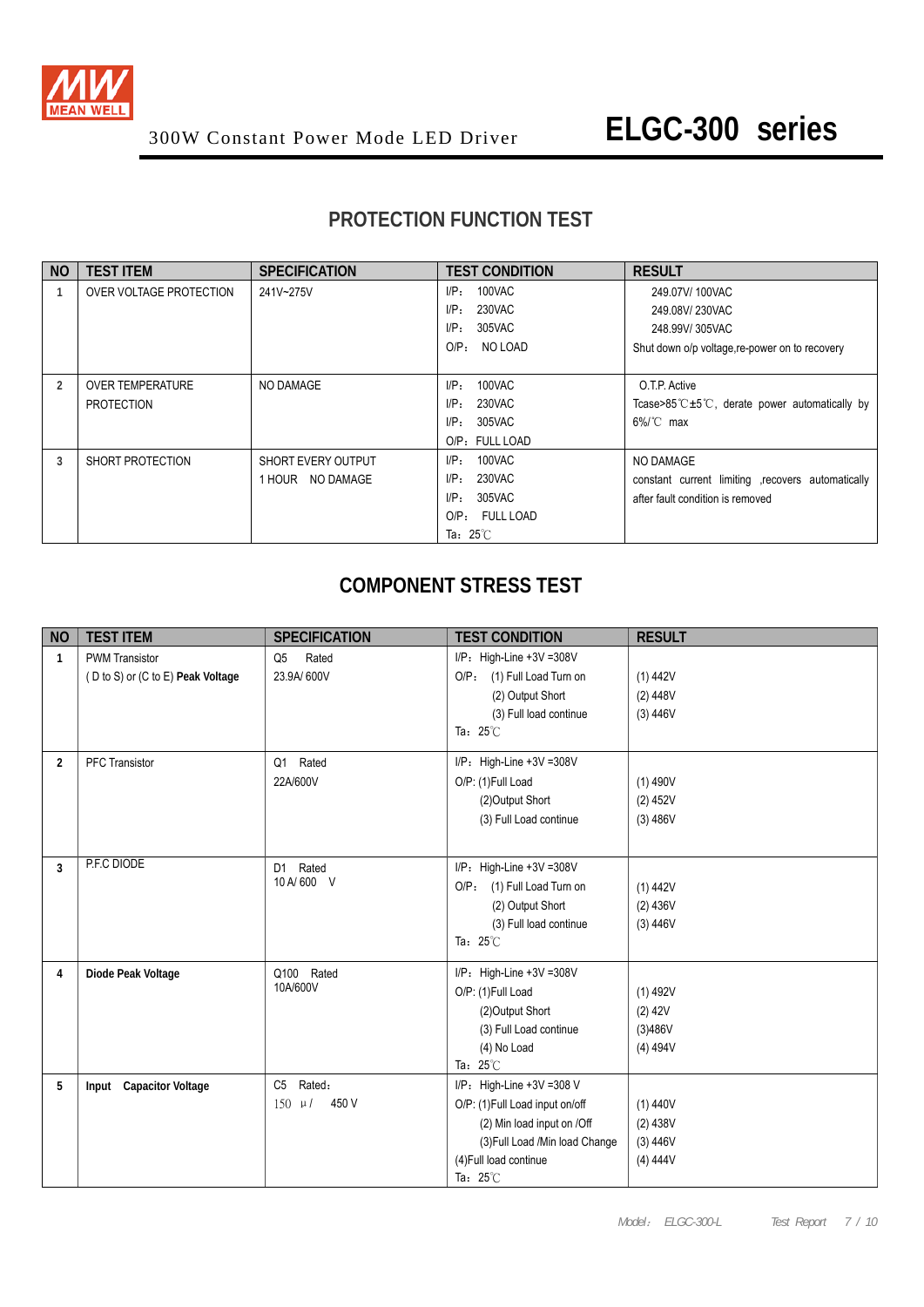

### **PROTECTION FUNCTION TEST**

| <b>NO</b> | <b>TEST ITEM</b>        | <b>SPECIFICATION</b>      | <b>TEST CONDITION</b>         | <b>RESULT</b>                                        |
|-----------|-------------------------|---------------------------|-------------------------------|------------------------------------------------------|
|           | OVER VOLTAGE PROTECTION | 241V~275V                 | 100VAC<br>UP:                 | 249.07V/100VAC                                       |
|           |                         |                           | 230VAC<br>$I/P$ :             | 249.08V/230VAC                                       |
|           |                         |                           | 305VAC<br>I/P:                | 248.99V/305VAC                                       |
|           |                         |                           | O/P <sub>z</sub><br>NO LOAD   | Shut down o/p voltage, re-power on to recovery       |
|           |                         |                           |                               |                                                      |
| 2         | <b>OVER TEMPERATURE</b> | NO DAMAGE                 | 100VAC<br>I/P:                | O.T.P. Active                                        |
|           | <b>PROTECTION</b>       |                           | $I/P$ :<br>230VAC             | Tcase>85 $C \pm 5$ °C, derate power automatically by |
|           |                         |                           | 305VAC<br>I/P:                | $6\%$ C max                                          |
|           |                         |                           | O/P: FULL LOAD                |                                                      |
| 3         | SHORT PROTECTION        | <b>SHORT EVERY OUTPUT</b> | 100VAC<br>$I/P$ :             | NO DAMAGE                                            |
|           |                         | 1 HOUR NO DAMAGE          | $I/P$ :<br>230VAC             | constant current limiting recovers automatically     |
|           |                         |                           | I/P:<br>305VAC                | after fault condition is removed                     |
|           |                         |                           | FULL LOAD<br>O/P <sub>z</sub> |                                                      |
|           |                         |                           | Ta: $25^{\circ}$ C            |                                                      |

#### **COMPONENT STRESS TEST**

| <b>TEST ITEM</b>                  | <b>SPECIFICATION</b>                   | <b>TEST CONDITION</b>                                                     | <b>RESULT</b>                                                                                                                                                                                                                                                       |
|-----------------------------------|----------------------------------------|---------------------------------------------------------------------------|---------------------------------------------------------------------------------------------------------------------------------------------------------------------------------------------------------------------------------------------------------------------|
| <b>PWM Transistor</b>             | Q <sub>5</sub><br>Rated                | I/P: High-Line +3V =308V                                                  |                                                                                                                                                                                                                                                                     |
| (D to S) or (C to E) Peak Voltage | 23.9A/ 600V                            | O/P: (1) Full Load Turn on                                                | (1) 442V                                                                                                                                                                                                                                                            |
|                                   |                                        | (2) Output Short                                                          | $(2)$ 448V                                                                                                                                                                                                                                                          |
|                                   |                                        | (3) Full load continue                                                    | (3) 446V                                                                                                                                                                                                                                                            |
|                                   |                                        |                                                                           |                                                                                                                                                                                                                                                                     |
| <b>PFC Transistor</b>             | Rated<br>Q1                            | $I/P$ : High-Line +3V =308V                                               |                                                                                                                                                                                                                                                                     |
|                                   | 22A/600V                               | O/P: (1)Full Load                                                         | $(1)$ 490V                                                                                                                                                                                                                                                          |
|                                   |                                        | (2) Output Short                                                          | $(2)$ 452V                                                                                                                                                                                                                                                          |
|                                   |                                        | (3) Full Load continue                                                    | (3) 486V                                                                                                                                                                                                                                                            |
|                                   |                                        |                                                                           |                                                                                                                                                                                                                                                                     |
|                                   | D1 Rated                               | $I/P$ : High-Line +3V =308V                                               |                                                                                                                                                                                                                                                                     |
|                                   |                                        | O/P: (1) Full Load Turn on                                                | (1) 442V                                                                                                                                                                                                                                                            |
|                                   |                                        | (2) Output Short                                                          | $(2)$ 436V                                                                                                                                                                                                                                                          |
|                                   |                                        | (3) Full load continue                                                    | (3) 446V                                                                                                                                                                                                                                                            |
|                                   |                                        |                                                                           |                                                                                                                                                                                                                                                                     |
| Diode Peak Voltage                | Q100 Rated                             | $I/P$ : High-Line +3V =308V                                               |                                                                                                                                                                                                                                                                     |
|                                   |                                        | O/P: (1)Full Load                                                         | $(1)$ 492V                                                                                                                                                                                                                                                          |
|                                   |                                        | (2) Output Short                                                          | $(2)$ 42V                                                                                                                                                                                                                                                           |
|                                   |                                        | (3) Full Load continue                                                    | (3)486V                                                                                                                                                                                                                                                             |
|                                   |                                        |                                                                           | $(4)$ 494V                                                                                                                                                                                                                                                          |
|                                   |                                        |                                                                           |                                                                                                                                                                                                                                                                     |
|                                   |                                        |                                                                           |                                                                                                                                                                                                                                                                     |
|                                   |                                        |                                                                           | $(1)$ 440V                                                                                                                                                                                                                                                          |
|                                   |                                        |                                                                           | $(2)$ 438V                                                                                                                                                                                                                                                          |
|                                   |                                        |                                                                           | (3) 446V<br>(4) 444V                                                                                                                                                                                                                                                |
|                                   |                                        |                                                                           |                                                                                                                                                                                                                                                                     |
|                                   | P.F.C DIODE<br>Input Capacitor Voltage | 10 A/600 V<br>10A/600V<br>Rated:<br>C <sub>5</sub><br>450 V<br>$150 \mu/$ | Ta: $25^{\circ}$ C<br>Ta: $25^{\circ}$ C<br>(4) No Load<br>Ta: $25^{\circ}$ C<br>$I/P$ : High-Line +3V =308 V<br>O/P: (1)Full Load input on/off<br>(2) Min load input on /Off<br>(3) Full Load /Min load Change<br>(4) Full load continue<br>Ta: $25^\circ\text{C}$ |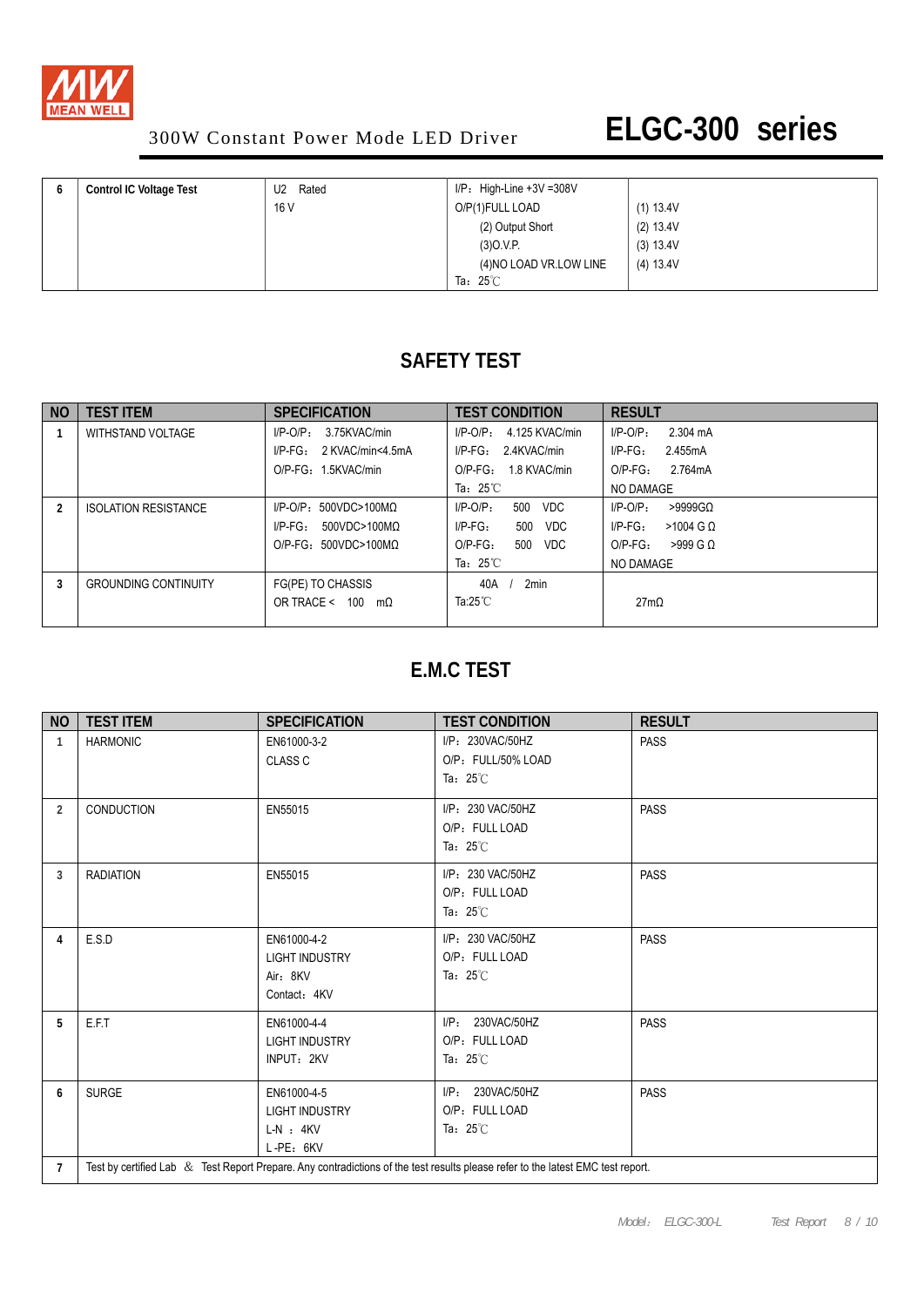

| b | <b>Control IC Voltage Test</b> | Rated<br>U <sub>2</sub> | $I/P$ : High-Line +3V =308V |           |
|---|--------------------------------|-------------------------|-----------------------------|-----------|
|   |                                | 16 V                    | O/P(1)FULL LOAD             | (1) 13.4V |
|   |                                |                         | (2) Output Short            | (2) 13.4V |
|   |                                |                         | (3)0.V.P.                   | (3) 13.4V |
|   |                                |                         | (4) NO LOAD VR. LOW LINE    | (4) 13.4V |
|   |                                |                         | Ta: $25^\circ\text{C}$      |           |

### **SAFETY TEST**

| N <sub>O</sub> | <b>TEST ITEM</b>            | <b>SPECIFICATION</b>             | <b>TEST CONDITION</b>            | <b>RESULT</b>                |
|----------------|-----------------------------|----------------------------------|----------------------------------|------------------------------|
|                | WITHSTAND VOLTAGE           | 3.75KVAC/min<br>$I/P-O/P$ :      | 4.125 KVAC/min<br>I/P-O/P:       | $I/P-O/P$ :<br>2.304 mA      |
|                |                             | $I/P-FG$ :<br>2 KVAC/min<4.5mA   | $I/P-FG: 2.4KVAC/min$            | $I/P\text{-FG}$ :<br>2.455mA |
|                |                             | O/P-FG: 1.5KVAC/min              | 1.8 KVAC/min<br>$O/P-FG$ :       | $O/P-FG$ :<br>2.764mA        |
|                |                             |                                  | Ta: $25^{\circ}$ C               | NO DAMAGE                    |
| 2              | <b>ISOLATION RESISTANCE</b> | $I/P-O/P$ : 500VDC>100M $\Omega$ | 500<br>$I/P-O/P$ :<br><b>VDC</b> | $I/P$ -O/P:<br>$>9999$ GQ    |
|                |                             | $I/P-FG$ :<br>500VDC>100MΩ       | $I/P-FG$ :<br>500<br>VDC         | $I/P-FG$ :<br>$>1004$ G Q    |
|                |                             | $O/P-FG: 500VDC > 100MO$         | $O/P-FG$ :<br>500<br>VDC         | $O/P-FG$ :<br>$>999$ G Q     |
|                |                             |                                  | Ta: $25^{\circ}$ C               | NO DAMAGE                    |
| 3              | <b>GROUNDING CONTINUITY</b> | FG(PE) TO CHASSIS                | 2min<br>40A                      |                              |
|                |                             | OR TRACE < 100<br>$m\Omega$      | Ta:25 $^\circ\text{C}$           | 27m <sub>Ω</sub>             |
|                |                             |                                  |                                  |                              |

### **E.M.C TEST**

| <b>NO</b>      | <b>TEST ITEM</b>                                                                                                                | <b>SPECIFICATION</b>                                               | <b>TEST CONDITION</b>                                         | <b>RESULT</b> |  |  |  |
|----------------|---------------------------------------------------------------------------------------------------------------------------------|--------------------------------------------------------------------|---------------------------------------------------------------|---------------|--|--|--|
| $\mathbf{1}$   | <b>HARMONIC</b>                                                                                                                 | EN61000-3-2<br><b>CLASS C</b>                                      | I/P: 230VAC/50HZ<br>O/P: FULL/50% LOAD<br>Ta: $25^{\circ}$ C  | <b>PASS</b>   |  |  |  |
| 2              | CONDUCTION                                                                                                                      | EN55015                                                            | I/P: 230 VAC/50HZ<br>O/P: FULL LOAD<br>Ta: $25^\circ\text{C}$ | <b>PASS</b>   |  |  |  |
| 3              | <b>RADIATION</b>                                                                                                                | EN55015                                                            | I/P: 230 VAC/50HZ<br>O/P: FULL LOAD<br>Ta: $25^\circ$ C       | <b>PASS</b>   |  |  |  |
| 4              | E.S.D                                                                                                                           | EN61000-4-2<br><b>LIGHT INDUSTRY</b><br>Air: 8KV<br>Contact: 4KV   | I/P: 230 VAC/50HZ<br>O/P: FULL LOAD<br>Ta: $25^\circ$ C       | <b>PASS</b>   |  |  |  |
| 5              | E.F.T                                                                                                                           | EN61000-4-4<br><b>LIGHT INDUSTRY</b><br>INPUT: 2KV                 | 230VAC/50HZ<br>$I/P$ :<br>O/P: FULL LOAD<br>Ta: $25^\circ$ C  | <b>PASS</b>   |  |  |  |
| 6              | <b>SURGE</b>                                                                                                                    | EN61000-4-5<br><b>LIGHT INDUSTRY</b><br>$L-N$ : $4KV$<br>L-PE: 6KV | 230VAC/50HZ<br>UP:<br>O/P: FULL LOAD<br>Ta: $25^\circ$ C      | <b>PASS</b>   |  |  |  |
| $\overline{7}$ | Test by certified Lab & Test Report Prepare. Any contradictions of the test results please refer to the latest EMC test report. |                                                                    |                                                               |               |  |  |  |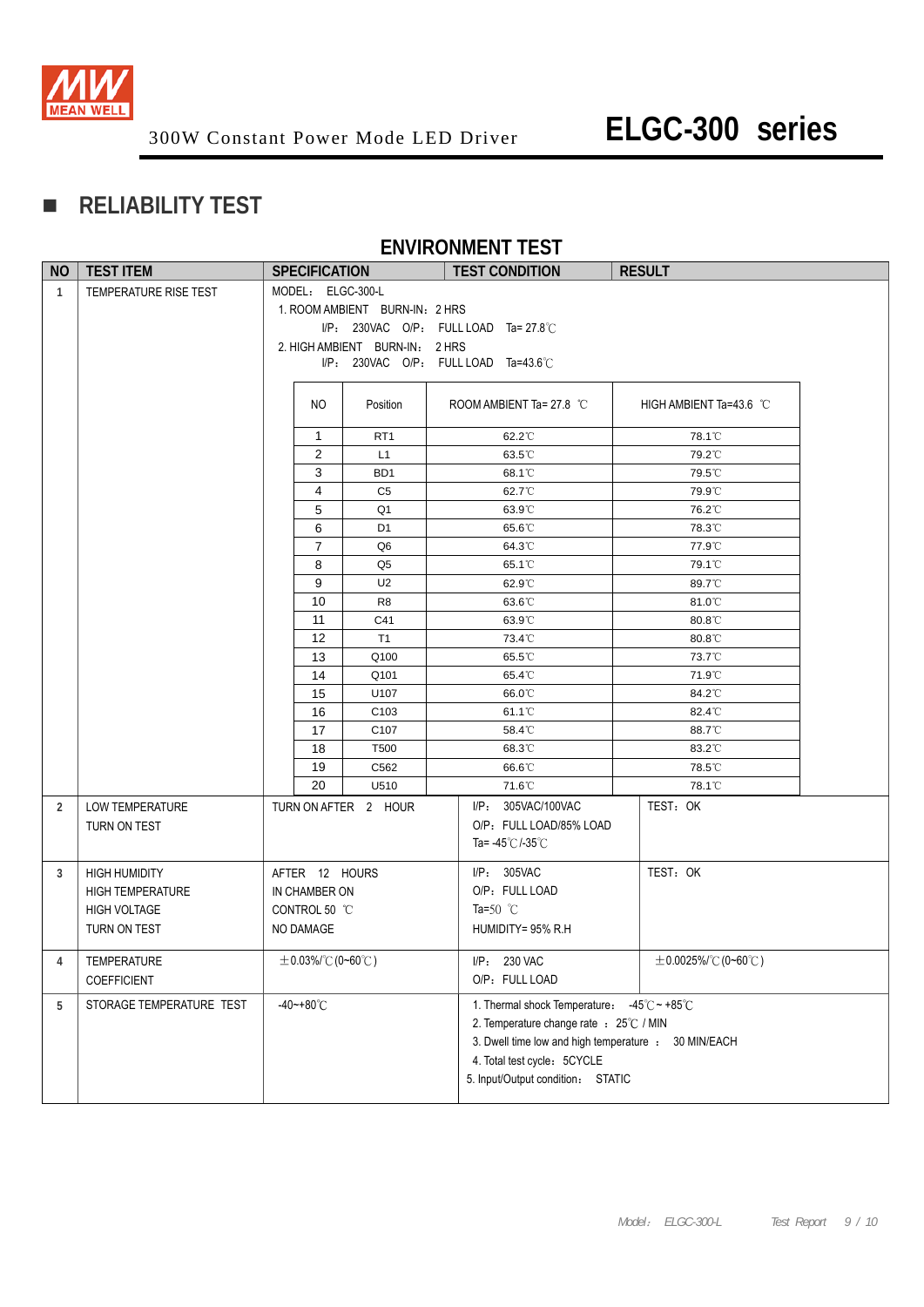

### **RELIABILITY TEST**

#### **ENVIRONMENT TEST**

| <b>NO</b>    | <b>TEST ITEM</b>                                                                       | <b>SPECIFICATION</b>                                          |                |                                | <b>TEST CONDITION</b>                                                                                                                                                                                              | <b>RESULT</b>             |
|--------------|----------------------------------------------------------------------------------------|---------------------------------------------------------------|----------------|--------------------------------|--------------------------------------------------------------------------------------------------------------------------------------------------------------------------------------------------------------------|---------------------------|
| $\mathbf{1}$ | TEMPERATURE RISE TEST                                                                  | MODEL: ELGC-300-L                                             |                |                                |                                                                                                                                                                                                                    |                           |
|              |                                                                                        |                                                               |                | 1. ROOM AMBIENT BURN-IN: 2 HRS |                                                                                                                                                                                                                    |                           |
|              |                                                                                        |                                                               |                |                                | $I/P$ : 230VAC O/P: FULL LOAD Ta= 27.8°C                                                                                                                                                                           |                           |
|              |                                                                                        |                                                               |                | 2. HIGH AMBIENT BURN-IN: 2 HRS |                                                                                                                                                                                                                    |                           |
|              |                                                                                        |                                                               |                |                                | I/P: 230VAC O/P: FULL LOAD Ta=43.6°C                                                                                                                                                                               |                           |
|              |                                                                                        |                                                               | NO.            | Position                       | ROOM AMBIENT Ta= 27.8 °C                                                                                                                                                                                           | HIGH AMBIENT Ta=43.6 °C   |
|              |                                                                                        |                                                               | $\mathbf{1}$   | RT <sub>1</sub>                | 62.2°C                                                                                                                                                                                                             | 78.1°C                    |
|              |                                                                                        |                                                               | 2              | L1                             | 63.5°C                                                                                                                                                                                                             | 79.2°C                    |
|              |                                                                                        |                                                               | 3              | BD <sub>1</sub>                | 68.1°C                                                                                                                                                                                                             | 79.5°C                    |
|              |                                                                                        |                                                               | 4              | C <sub>5</sub>                 | 62.7°C                                                                                                                                                                                                             | 79.9°C                    |
|              |                                                                                        |                                                               | 5              | Q <sub>1</sub>                 | 63.9°C                                                                                                                                                                                                             | 76.2°C                    |
|              |                                                                                        |                                                               | 6              | D <sub>1</sub>                 | 65.6°C                                                                                                                                                                                                             | 78.3°C                    |
|              |                                                                                        |                                                               | $\overline{7}$ | Q6                             | 64.3°C                                                                                                                                                                                                             | 77.9°C                    |
|              |                                                                                        |                                                               | 8              | Q5                             | 65.1 <sup>°</sup> C                                                                                                                                                                                                | 79.1°C                    |
|              |                                                                                        |                                                               | 9              | U <sub>2</sub>                 | 62.9°C                                                                                                                                                                                                             | 89.7°C                    |
|              |                                                                                        |                                                               | 10             | R <sub>8</sub>                 | 63.6°C                                                                                                                                                                                                             | 81.0°C                    |
|              |                                                                                        |                                                               | 11             | C41                            | 63.9°C                                                                                                                                                                                                             | 80.8°C                    |
|              |                                                                                        |                                                               | 12             | T1                             | 73.4°C                                                                                                                                                                                                             | 80.8°C                    |
|              |                                                                                        |                                                               | 13             | Q100                           | 65.5°C                                                                                                                                                                                                             | 73.7°C                    |
|              |                                                                                        |                                                               | 14             | Q101                           | 65.4°C                                                                                                                                                                                                             | 71.9°C                    |
|              |                                                                                        |                                                               | 15             | U107                           | 66.0°C                                                                                                                                                                                                             | 84.2°C                    |
|              |                                                                                        |                                                               | 16             | C <sub>103</sub>               | 61.1 <sup>°</sup> C                                                                                                                                                                                                | 82.4°C                    |
|              |                                                                                        |                                                               | 17             | C <sub>107</sub>               | 58.4°C                                                                                                                                                                                                             | 88.7°C                    |
|              |                                                                                        |                                                               | 18             | T <sub>500</sub>               | 68.3°C                                                                                                                                                                                                             | 83.2°C                    |
|              |                                                                                        |                                                               | 19             | C562                           | 66.6°C                                                                                                                                                                                                             | 78.5°C                    |
|              |                                                                                        |                                                               | 20             | U510                           | 71.6°C                                                                                                                                                                                                             | 78.1°C                    |
| 2            | LOW TEMPERATURE<br>TURN ON TEST                                                        |                                                               |                | TURN ON AFTER 2 HOUR           | I/P: 305VAC/100VAC<br>O/P: FULL LOAD/85% LOAD<br>Ta= $-45^{\circ}$ C/ $-35^{\circ}$ C                                                                                                                              | TEST: OK                  |
| 3            | <b>HIGH HUMIDITY</b><br><b>HIGH TEMPERATURE</b><br><b>HIGH VOLTAGE</b><br>TURN ON TEST | AFTER 12 HOURS<br>IN CHAMBER ON<br>CONTROL 50 °C<br>NO DAMAGE |                |                                | I/P: 305VAC<br>O/P: FULL LOAD<br>Ta=50 $^{\circ}$ C<br>HUMIDITY= 95% R.H                                                                                                                                           | TEST: OK                  |
| 4            | <b>TEMPERATURE</b><br><b>COEFFICIENT</b>                                               | $\pm$ 0.03%/°C (0~60°C)                                       |                |                                | I/P: 230 VAC<br>O/P: FULL LOAD                                                                                                                                                                                     | $\pm$ 0.0025%/°C (0~60°C) |
| 5            | STORAGE TEMPERATURE TEST                                                               | $-40 - +80^{\circ}$ C                                         |                |                                | 1. Thermal shock Temperature: -45°C ~ +85°C<br>2. Temperature change rate : 25°C / MIN<br>3. Dwell time low and high temperature : 30 MIN/EACH<br>4. Total test cycle: 5CYCLE<br>5. Input/Output condition: STATIC |                           |